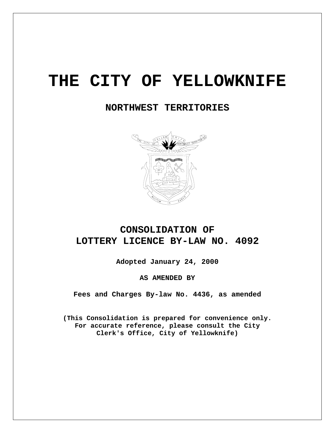# **THE CITY OF YELLOWKNIFE**

 **NORTHWEST TERRITORIES** 



# **CONSOLIDATION OF LOTTERY LICENCE BY-LAW NO. 4092**

**Adopted January 24, 2000** 

**AS AMENDED BY** 

**Fees and Charges By-law No. 4436, as amended** 

**(This Consolidation is prepared for convenience only. For accurate reference, please consult the City Clerk's Office, City of Yellowknife)**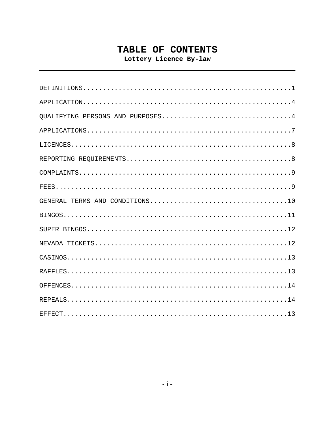# TABLE OF CONTENTS

Lottery Licence By-law

| OUALIFYING PERSONS AND PURPOSES4 |
|----------------------------------|
|                                  |
|                                  |
|                                  |
|                                  |
|                                  |
|                                  |
|                                  |
|                                  |
|                                  |
|                                  |
|                                  |
|                                  |
|                                  |
|                                  |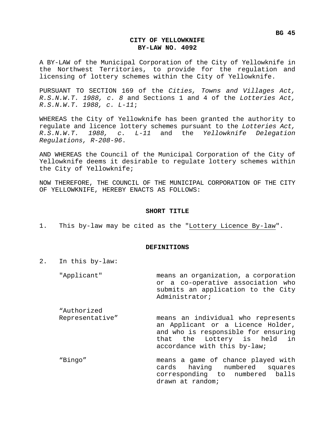A BY-LAW of the Municipal Corporation of the City of Yellowknife in the Northwest Territories, to provide for the regulation and licensing of lottery schemes within the City of Yellowknife.

PURSUANT TO SECTION 169 of the *Cities, Towns and Villages Act, R.S.N.W.T. 1988, c. 8* and Sections 1 and 4 of the *Lotteries Act, R.S.N.W.T. 1988, c. L-11*;

WHEREAS the City of Yellowknife has been granted the authority to regulate and licence lottery schemes pursuant to the *Lotteries Act, R.S.N.W.T. 1988, c. L-11* and the *Yellowknife Delegation Regulations, R-208-96*.

AND WHEREAS the Council of the Municipal Corporation of the City of Yellowknife deems it desirable to regulate lottery schemes within the City of Yellowknife;

NOW THEREFORE, THE COUNCIL OF THE MUNICIPAL CORPORATION OF THE CITY OF YELLOWKNIFE, HEREBY ENACTS AS FOLLOWS:

# **SHORT TITLE**

1. This by-law may be cited as the "Lottery Licence By-law".

# **DEFINITIONS**

- 2. In this by-law:
	- "Applicant" means an organization, a corporation or a co-operative association who submits an application to the City Administrator;

"Authorized Representative" means an individual who represents an Applicant or a Licence Holder, and who is responsible for ensuring that the Lottery is held in accordance with this by-law;

"Bingo" means a game of chance played with cards having numbered squares corresponding to numbered balls drawn at random;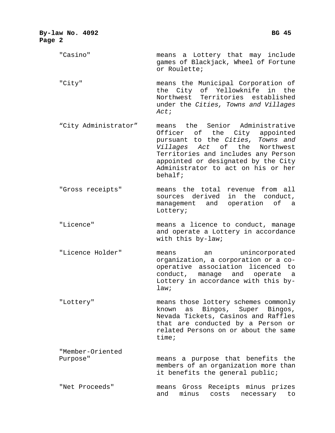| By-law No. 4092<br>Page 2    | <b>BG 45</b>                                                                                                                                                                                                                                                             |
|------------------------------|--------------------------------------------------------------------------------------------------------------------------------------------------------------------------------------------------------------------------------------------------------------------------|
| "Casino"                     | means a Lottery that may include<br>games of Blackjack, Wheel of Fortune<br>or Roulette;                                                                                                                                                                                 |
| "City"                       | means the Municipal Corporation of<br>the City of Yellowknife in the<br>Northwest Territories established<br>under the Cities, Towns and Villages<br>Act;                                                                                                                |
| "City Administrator"         | means the Senior Administrative<br>Officer of the City appointed<br>pursuant to the Cities, Towns and<br>Villages Act of the<br>Northwest<br>Territories and includes any Person<br>appointed or designated by the City<br>Administrator to act on his or her<br>behalf; |
| "Gross receipts"             | means the total revenue from all<br>sources derived<br>in the conduct,<br>operation<br>of a<br>management and<br>Lottery;                                                                                                                                                |
| "Licence"                    | means a licence to conduct, manage<br>and operate a Lottery in accordance<br>with this by-law;                                                                                                                                                                           |
| "Licence Holder"             | unincorporated<br>means<br>an<br>organization, a corporation or a co-<br>operative association licenced to<br>conduct, manage and operate a<br>Lottery in accordance with this by-<br>law:                                                                               |
| "Lottery"                    | means those lottery schemes commonly<br>Bingos, Super Bingos,<br>known<br>as<br>Nevada Tickets, Casinos and Raffles<br>that are conducted by a Person or<br>related Persons on or about the same<br>time:                                                                |
| "Member-Oriented<br>Purpose" | means a purpose that benefits the<br>members of an organization more than<br>it benefits the general public;                                                                                                                                                             |
| "Net Proceeds"               | Receipts minus prizes<br>means Gross<br>and<br>minus<br>costs<br>necessary<br>to                                                                                                                                                                                         |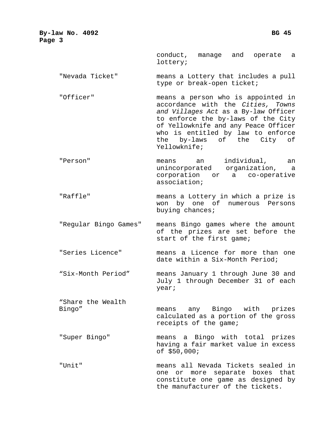**By-law No. 4092 BG 45 BG 45 Page 3** 

> conduct, manage and operate a lottery;

"Nevada Ticket" means a Lottery that includes a pull type or break-open ticket;

"Officer" means a person who is appointed in accordance with the *Cities, Towns and Villages Act* as a By-law Officer to enforce the by-laws of the City of Yellowknife and any Peace Officer who is entitled by law to enforce the by-laws of the City of Yellowknife;

"Person" means an individual, an unincorporated organization, a corporation or a co-operative association;

"Raffle" means a Lottery in which a prize is won by one of numerous Persons buying chances;

"Regular Bingo Games" means Bingo games where the amount of the prizes are set before the start of the first game;

"Series Licence" means a Licence for more than one date within a Six-Month Period;

"Six-Month Period" means January 1 through June 30 and July 1 through December 31 of each year;

"Share the Wealth

Bingo" means any Bingo with prizes calculated as a portion of the gross receipts of the game;

"Super Bingo" means a Bingo with total prizes having a fair market value in excess of \$50,000;

"Unit" means all Nevada Tickets sealed in one or more separate boxes that constitute one game as designed by the manufacturer of the tickets.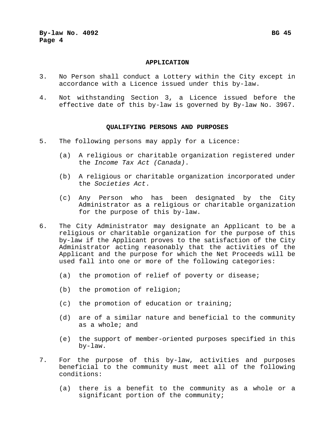# **APPLICATION**

- 3. No Person shall conduct a Lottery within the City except in accordance with a Licence issued under this by-law.
- 4. Not withstanding Section 3, a Licence issued before the effective date of this by-law is governed by By-law No. 3967.

### **QUALIFYING PERSONS AND PURPOSES**

- 5. The following persons may apply for a Licence:
	- (a) A religious or charitable organization registered under the *Income Tax Act (Canada)*.
	- (b) A religious or charitable organization incorporated under the *Societies Act*.
	- (c) Any Person who has been designated by the City Administrator as a religious or charitable organization for the purpose of this by-law.
- 6. The City Administrator may designate an Applicant to be a religious or charitable organization for the purpose of this by-law if the Applicant proves to the satisfaction of the City Administrator acting reasonably that the activities of the Applicant and the purpose for which the Net Proceeds will be used fall into one or more of the following categories:
	- (a) the promotion of relief of poverty or disease;
	- (b) the promotion of religion;
	- (c) the promotion of education or training;
	- (d) are of a similar nature and beneficial to the community as a whole; and
	- (e) the support of member-oriented purposes specified in this by-law.
- 7. For the purpose of this by-law, activities and purposes beneficial to the community must meet all of the following conditions:
	- (a) there is a benefit to the community as a whole or a significant portion of the community;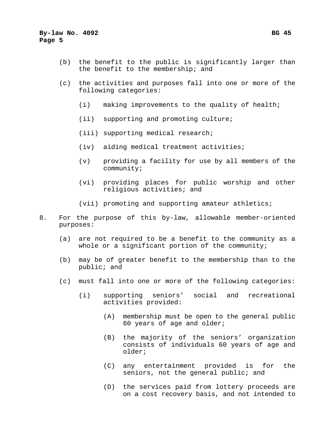- (b) the benefit to the public is significantly larger than the benefit to the membership; and
- (c) the activities and purposes fall into one or more of the following categories:
	- (i) making improvements to the quality of health;
	- (ii) supporting and promoting culture;
	- (iii) supporting medical research;
	- (iv) aiding medical treatment activities;
	- (v) providing a facility for use by all members of the community;
	- (vi) providing places for public worship and other religious activities; and
	- (vii) promoting and supporting amateur athletics;
- 8. For the purpose of this by-law, allowable member-oriented purposes:
	- (a) are not required to be a benefit to the community as a whole or a significant portion of the community;
	- (b) may be of greater benefit to the membership than to the public; and
	- (c) must fall into one or more of the following categories:
		- (i) supporting seniors' social and recreational activities provided:
			- (A) membership must be open to the general public 60 years of age and older;
			- (B) the majority of the seniors' organization consists of individuals 60 years of age and older;
			- (C) any entertainment provided is for the seniors, not the general public; and
			- (D) the services paid from lottery proceeds are on a cost recovery basis, and not intended to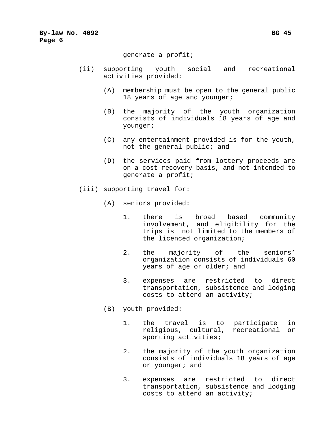## generate a profit;

- (ii) supporting youth social and recreational activities provided:
	- (A) membership must be open to the general public 18 years of age and younger;
	- (B) the majority of the youth organization consists of individuals 18 years of age and younger;
	- (C) any entertainment provided is for the youth, not the general public; and
	- (D) the services paid from lottery proceeds are on a cost recovery basis, and not intended to generate a profit;
- (iii) supporting travel for:
	- (A) seniors provided:
		- 1. there is broad based community involvement, and eligibility for the trips is not limited to the members of the licenced organization;
		- 2. the majority of the seniors' organization consists of individuals 60 years of age or older; and
		- 3. expenses are restricted to direct transportation, subsistence and lodging costs to attend an activity;
	- (B) youth provided:
		- 1. the travel is to participate in religious, cultural, recreational or sporting activities;
		- 2. the majority of the youth organization consists of individuals 18 years of age or younger; and
		- 3. expenses are restricted to direct transportation, subsistence and lodging costs to attend an activity;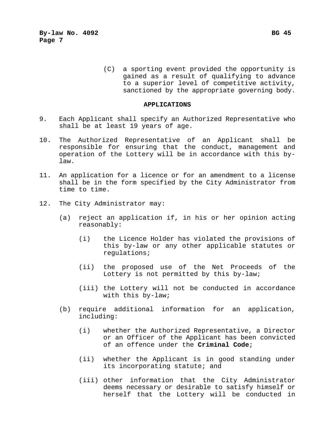(C) a sporting event provided the opportunity is gained as a result of qualifying to advance to a superior level of competitive activity, sanctioned by the appropriate governing body.

## **APPLICATIONS**

- 9. Each Applicant shall specify an Authorized Representative who shall be at least 19 years of age.
- 10. The Authorized Representative of an Applicant shall be responsible for ensuring that the conduct, management and operation of the Lottery will be in accordance with this bylaw.
- 11. An application for a licence or for an amendment to a license shall be in the form specified by the City Administrator from time to time.
- 12. The City Administrator may:
	- (a) reject an application if, in his or her opinion acting reasonably:
		- (i) the Licence Holder has violated the provisions of this by-law or any other applicable statutes or regulations;
		- (ii) the proposed use of the Net Proceeds of the Lottery is not permitted by this by-law;
		- (iii) the Lottery will not be conducted in accordance with this by-law;
	- (b) require additional information for an application, including:
		- (i) whether the Authorized Representative, a Director or an Officer of the Applicant has been convicted of an offence under the **Criminal Code**;
		- (ii) whether the Applicant is in good standing under its incorporating statute; and
		- (iii) other information that the City Administrator deems necessary or desirable to satisfy himself or herself that the Lottery will be conducted in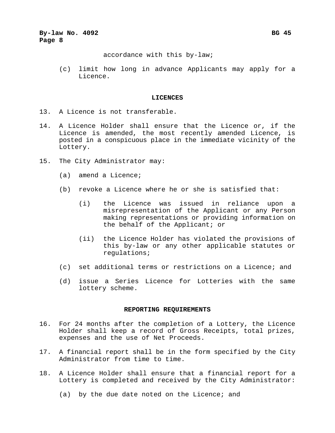accordance with this by-law;

(c) limit how long in advance Applicants may apply for a Licence.

## **LICENCES**

- 13. A Licence is not transferable.
- 14. A Licence Holder shall ensure that the Licence or, if the Licence is amended, the most recently amended Licence, is posted in a conspicuous place in the immediate vicinity of the Lottery.
- 15. The City Administrator may:
	- (a) amend a Licence;
	- (b) revoke a Licence where he or she is satisfied that:
		- (i) the Licence was issued in reliance upon a misrepresentation of the Applicant or any Person making representations or providing information on the behalf of the Applicant; or
		- (ii) the Licence Holder has violated the provisions of this by-law or any other applicable statutes or regulations;
	- (c) set additional terms or restrictions on a Licence; and
	- (d) issue a Series Licence for Lotteries with the same lottery scheme.

# **REPORTING REQUIREMENTS**

- 16. For 24 months after the completion of a Lottery, the Licence Holder shall keep a record of Gross Receipts, total prizes, expenses and the use of Net Proceeds.
- 17. A financial report shall be in the form specified by the City Administrator from time to time.
- 18. A Licence Holder shall ensure that a financial report for a Lottery is completed and received by the City Administrator:
	- (a) by the due date noted on the Licence; and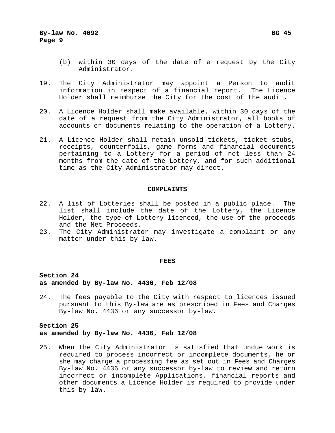- (b) within 30 days of the date of a request by the City Administrator.
- 19. The City Administrator may appoint a Person to audit information in respect of a financial report. The Licence Holder shall reimburse the City for the cost of the audit.
- 20. A Licence Holder shall make available, within 30 days of the date of a request from the City Administrator, all books of accounts or documents relating to the operation of a Lottery.
- 21. A Licence Holder shall retain unsold tickets, ticket stubs, receipts, counterfoils, game forms and financial documents pertaining to a Lottery for a period of not less than 24 months from the date of the Lottery, and for such additional time as the City Administrator may direct.

# **COMPLAINTS**

- 22. A list of Lotteries shall be posted in a public place. The list shall include the date of the Lottery, the Licence Holder, the type of Lottery licenced, the use of the proceeds and the Net Proceeds.
- 23. The City Administrator may investigate a complaint or any matter under this by-law.

# **FEES**

# **Section 24 as amended by By-law No. 4436, Feb 12/08**

24. The fees payable to the City with respect to licences issued pursuant to this By-law are as prescribed in Fees and Charges By-law No. 4436 or any successor by-law.

# **Section 25 as amended by By-law No. 4436, Feb 12/08**

25. When the City Administrator is satisfied that undue work is required to process incorrect or incomplete documents, he or she may charge a processing fee as set out in Fees and Charges By-law No. 4436 or any successor by-law to review and return incorrect or incomplete Applications, financial reports and other documents a Licence Holder is required to provide under this by-law.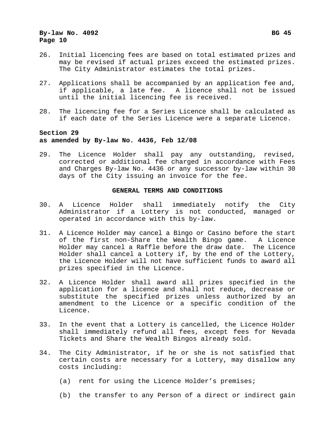- 26. Initial licencing fees are based on total estimated prizes and may be revised if actual prizes exceed the estimated prizes. The City Administrator estimates the total prizes.
- 27. Applications shall be accompanied by an application fee and, if applicable, a late fee. A licence shall not be issued until the initial licencing fee is received.
- 28. The licencing fee for a Series Licence shall be calculated as if each date of the Series Licence were a separate Licence.

# **Section 29 as amended by By-law No. 4436, Feb 12/08**

29. The Licence Holder shall pay any outstanding, revised, corrected or additional fee charged in accordance with Fees and Charges By-law No. 4436 or any successor by-law within 30 days of the City issuing an invoice for the fee.

# **GENERAL TERMS AND CONDITIONS**

- 30. A Licence Holder shall immediately notify the City Administrator if a Lottery is not conducted, managed or operated in accordance with this by-law.
- 31. A Licence Holder may cancel a Bingo or Casino before the start of the first non-Share the Wealth Bingo game. A Licence Holder may cancel a Raffle before the draw date. The Licence Holder shall cancel a Lottery if, by the end of the Lottery, the Licence Holder will not have sufficient funds to award all prizes specified in the Licence.
- 32. A Licence Holder shall award all prizes specified in the application for a licence and shall not reduce, decrease or substitute the specified prizes unless authorized by an amendment to the Licence or a specific condition of the Licence.
- 33. In the event that a Lottery is cancelled, the Licence Holder shall immediately refund all fees, except fees for Nevada Tickets and Share the Wealth Bingos already sold.
- 34. The City Administrator, if he or she is not satisfied that certain costs are necessary for a Lottery, may disallow any costs including:
	- (a) rent for using the Licence Holder's premises;
	- (b) the transfer to any Person of a direct or indirect gain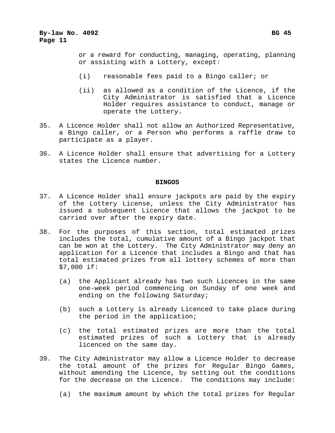or a reward for conducting, managing, operating, planning or assisting with a Lottery, except:

- (i) reasonable fees paid to a Bingo caller; or
- (ii) as allowed as a condition of the Licence, if the City Administrator is satisfied that a Licence Holder requires assistance to conduct, manage or operate the Lottery.
- 35. A Licence Holder shall not allow an Authorized Representative, a Bingo caller, or a Person who performs a raffle draw to participate as a player.
- 36. A Licence Holder shall ensure that advertising for a Lottery states the Licence number.

# **BINGOS**

- 37. A Licence Holder shall ensure jackpots are paid by the expiry of the Lottery License, unless the City Administrator has issued a subsequent Licence that allows the jackpot to be carried over after the expiry date.
- 38. For the purposes of this section, total estimated prizes includes the total, cumulative amount of a Bingo jackpot that can be won at the Lottery. The City Administrator may deny an application for a Licence that includes a Bingo and that has total estimated prizes from all lottery schemes of more than \$7,000 if:
	- (a) the Applicant already has two such Licences in the same one-week period commencing on Sunday of one week and ending on the following Saturday;
	- (b) such a Lottery is already Licenced to take place during the period in the application;
	- (c) the total estimated prizes are more than the total estimated prizes of such a Lottery that is already licenced on the same day.
- 39. The City Administrator may allow a Licence Holder to decrease the total amount of the prizes for Regular Bingo Games, without amending the Licence, by setting out the conditions for the decrease on the Licence. The conditions may include:
	- (a) the maximum amount by which the total prizes for Regular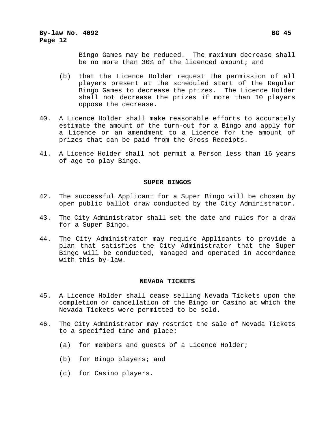Bingo Games may be reduced. The maximum decrease shall be no more than 30% of the licenced amount; and

- (b) that the Licence Holder request the permission of all players present at the scheduled start of the Regular Bingo Games to decrease the prizes. The Licence Holder shall not decrease the prizes if more than 10 players oppose the decrease.
- 40. A Licence Holder shall make reasonable efforts to accurately estimate the amount of the turn-out for a Bingo and apply for a Licence or an amendment to a Licence for the amount of prizes that can be paid from the Gross Receipts.
- 41. A Licence Holder shall not permit a Person less than 16 years of age to play Bingo.

# **SUPER BINGOS**

- 42. The successful Applicant for a Super Bingo will be chosen by open public ballot draw conducted by the City Administrator.
- 43. The City Administrator shall set the date and rules for a draw for a Super Bingo.
- 44. The City Administrator may require Applicants to provide a plan that satisfies the City Administrator that the Super Bingo will be conducted, managed and operated in accordance with this by-law.

# **NEVADA TICKETS**

- 45. A Licence Holder shall cease selling Nevada Tickets upon the completion or cancellation of the Bingo or Casino at which the Nevada Tickets were permitted to be sold.
- 46. The City Administrator may restrict the sale of Nevada Tickets to a specified time and place:
	- (a) for members and guests of a Licence Holder;
	- (b) for Bingo players; and
	- (c) for Casino players.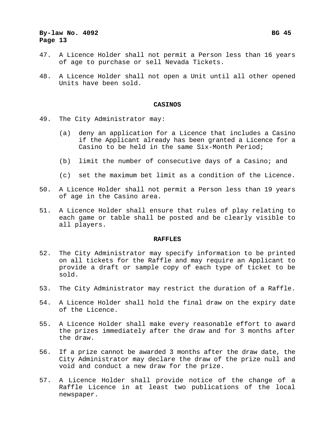# **By-law No. 4092 Bg 45 Bg 46 Bg 46 Bg 46 Bg 46 Bg 46 Bg 46 Bg 46 Bg 46 Bg 46 Bg 46 Bg 46 Bg 46 Bg 46 Bg 46 Bg 46 Bg 46 Bg 46 Bg 46 Bg 46 Bg 46 Bg 46 Bg 46 Bg 46 Bg 46 Bg Page 13**

- 47. A Licence Holder shall not permit a Person less than 16 years of age to purchase or sell Nevada Tickets.
- 48. A Licence Holder shall not open a Unit until all other opened Units have been sold.

### **CASINOS**

- 49. The City Administrator may:
	- (a) deny an application for a Licence that includes a Casino if the Applicant already has been granted a Licence for a Casino to be held in the same Six-Month Period;
	- (b) limit the number of consecutive days of a Casino; and
	- (c) set the maximum bet limit as a condition of the Licence.
- 50. A Licence Holder shall not permit a Person less than 19 years of age in the Casino area.
- 51. A Licence Holder shall ensure that rules of play relating to each game or table shall be posted and be clearly visible to all players.

## **RAFFLES**

- 52. The City Administrator may specify information to be printed on all tickets for the Raffle and may require an Applicant to provide a draft or sample copy of each type of ticket to be sold.
- 53. The City Administrator may restrict the duration of a Raffle.
- 54. A Licence Holder shall hold the final draw on the expiry date of the Licence.
- 55. A Licence Holder shall make every reasonable effort to award the prizes immediately after the draw and for 3 months after the draw.
- 56. If a prize cannot be awarded 3 months after the draw date, the City Administrator may declare the draw of the prize null and void and conduct a new draw for the prize.
- 57. A Licence Holder shall provide notice of the change of a Raffle Licence in at least two publications of the local newspaper.